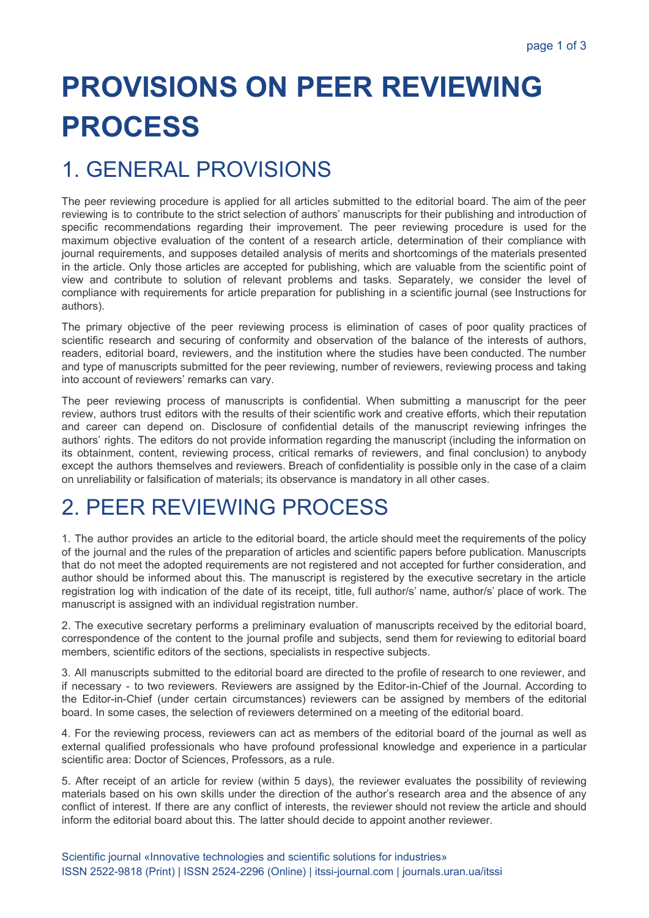# **PROVISIONS ON PEER REVIEWING PROCESS**

## 1. GENERAL PROVISIONS

The peer reviewing procedure is applied for all articles submitted to the editorial board. The aim of the peer reviewing is to contribute to the strict selection of authors' manuscripts for their publishing and introduction of specific recommendations regarding their improvement. The peer reviewing procedure is used for the maximum objective evaluation of the content of a research article, determination of their compliance with journal requirements, and supposes detailed analysis of merits and shortcomings of the materials presented in the article. Only those articles are accepted for publishing, which are valuable from the scientific point of view and contribute to solution of relevant problems and tasks. Separately, we consider the level of compliance with requirements for article preparation for publishing in a scientific journal (see Instructions for authors).

The primary objective of the peer reviewing process is elimination of cases of poor quality practices of scientific research and securing of conformity and observation of the balance of the interests of authors, readers, editorial board, reviewers, and the institution where the studies have been conducted. The number and type of manuscripts submitted for the peer reviewing, number of reviewers, reviewing process and taking into account of reviewers' remarks can vary.

The peer reviewing process of manuscripts is confidential. When submitting a manuscript for the peer review, authors trust editors with the results of their scientific work and creative efforts, which their reputation and career can depend on. Disclosure of confidential details of the manuscript reviewing infringes the authors' rights. The editors do not provide information regarding the manuscript (including the information on its obtainment, content, reviewing process, critical remarks of reviewers, and final conclusion) to anybody except the authors themselves and reviewers. Breach of confidentiality is possible only in the case of a claim on unreliability or falsification of materials; its observance is mandatory in all other cases.

### 2. PEER REVIEWING PROCESS

1. The author provides an article to the editorial board, the article should meet the requirements of the policy of the journal and the rules of the preparation of articles and scientific papers before publication. Manuscripts that do not meet the adopted requirements are not registered and not accepted for further consideration, and author should be informed about this. The manuscript is registered by the executive secretary in the article registration log with indication of the date of its receipt, title, full author/s' name, author/s' place of work. The manuscript is assigned with an individual registration number.

2. The executive secretary performs a preliminary evaluation of manuscripts received by the editorial board, correspondence of the content to the journal profile and subjects, send them for reviewing to editorial board members, scientific editors of the sections, specialists in respective subjects.

3. All manuscripts submitted to the editorial board are directed to the profile of research to one reviewer, and if necessary - to two reviewers. Reviewers are assigned by the Editor-in-Chief of the Journal. According to the Editor-in-Chief (under certain circumstances) reviewers can be assigned by members of the editorial board. In some cases, the selection of reviewers determined on a meeting of the editorial board.

4. For the reviewing process, reviewers can act as members of the editorial board of the journal as well as external qualified professionals who have profound professional knowledge and experience in a particular scientific area: Doctor of Sciences, Professors, as a rule.

5. After receipt of an article for review (within 5 days), the reviewer evaluates the possibility of reviewing materials based on his own skills under the direction of the author's research area and the absence of any conflict of interest. If there are any conflict of interests, the reviewer should not review the article and should inform the editorial board about this. The latter should decide to appoint another reviewer.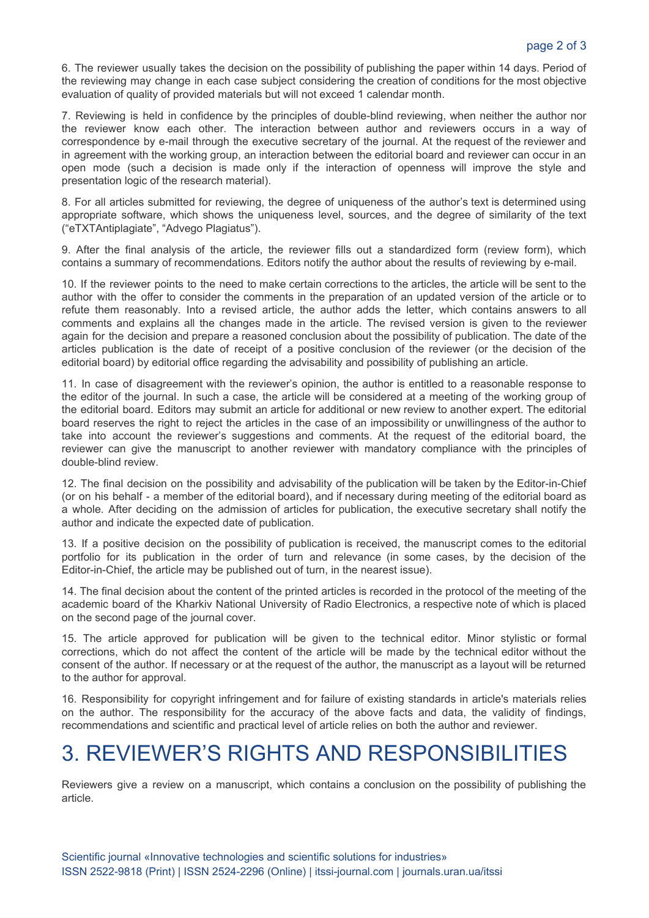6. The reviewer usually takes the decision on the possibility of publishing the paper within 14 days. Period of the reviewing may change in each case subject considering the creation of conditions for the most objective evaluation of quality of provided materials but will not exceed 1 calendar month.

7. Reviewing is held in confidence by the principles of double-blind reviewing, when neither the author nor the reviewer know each other. The interaction between author and reviewers occurs in a way of correspondence by e-mail through the executive secretary of the journal. At the request of the reviewer and in agreement with the working group, an interaction between the editorial board and reviewer can occur in an open mode (such a decision is made only if the interaction of openness will improve the style and presentation logic of the research material).

8. For all articles submitted for reviewing, the degree of uniqueness of the author's text is determined using appropriate software, which shows the uniqueness level, sources, and the degree of similarity of the text ("eTXTAntiplagiate", "Advego Plagiatus").

9. After the final analysis of the article, the reviewer fills out a standardized form (review form), which contains a summary of recommendations. Editors notify the author about the results of reviewing by e-mail.

10. If the reviewer points to the need to make certain corrections to the articles, the article will be sent to the author with the offer to consider the comments in the preparation of an updated version of the article or to refute them reasonably. Into a revised article, the author adds the letter, which contains answers to all comments and explains all the changes made in the article. The revised version is given to the reviewer again for the decision and prepare a reasoned conclusion about the possibility of publication. The date of the articles publication is the date of receipt of a positive conclusion of the reviewer (or the decision of the editorial board) by editorial office regarding the advisability and possibility of publishing an article.

11. In case of disagreement with the reviewer's opinion, the author is entitled to a reasonable response to the editor of the journal. In such a case, the article will be considered at a meeting of the working group of the editorial board. Editors may submit an article for additional or new review to another expert. The editorial board reserves the right to reject the articles in the case of an impossibility or unwillingness of the author to take into account the reviewer's suggestions and comments. At the request of the editorial board, the reviewer can give the manuscript to another reviewer with mandatory compliance with the principles of double-blind review.

12. The final decision on the possibility and advisability of the publication will be taken by the Editor-in-Chief (or on his behalf - a member of the editorial board), and if necessary during meeting of the editorial board as a whole. After deciding on the admission of articles for publication, the executive secretary shall notify the author and indicate the expected date of publication.

13. If a positive decision on the possibility of publication is received, the manuscript comes to the editorial portfolio for its publication in the order of turn and relevance (in some cases, by the decision of the Editor-in-Chief, the article may be published out of turn, in the nearest issue).

14. The final decision about the content of the printed articles is recorded in the protocol of the meeting of the academic board of the Kharkiv National University of Radio Electronics, a respective note of which is placed on the second page of the journal cover.

15. The article approved for publication will be given to the technical editor. Minor stylistic or formal corrections, which do not affect the content of the article will be made by the technical editor without the consent of the author. If necessary or at the request of the author, the manuscript as a layout will be returned to the author for approval.

16. Responsibility for copyright infringement and for failure of existing standards in article's materials relies on the author. The responsibility for the accuracy of the above facts and data, the validity of findings, recommendations and scientific and practical level of article relies on both the author and reviewer.

### 3. REVIEWER'S RIGHTS AND RESPONSIBILITIES

Reviewers give a review on a manuscript, which contains a conclusion on the possibility of publishing the article.